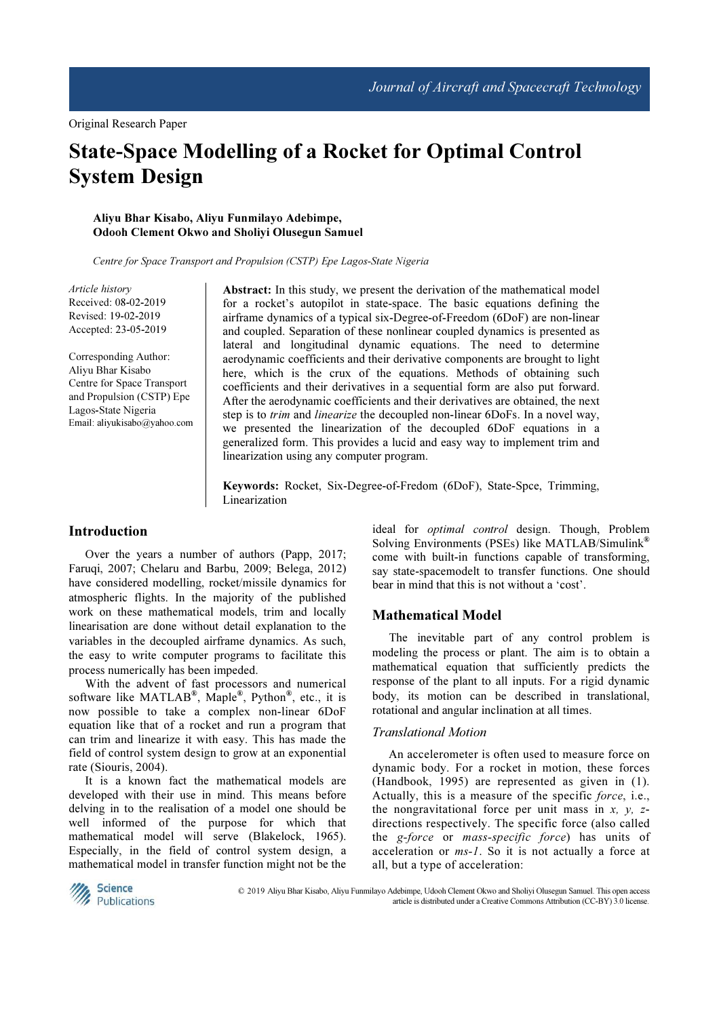# State-Space Modelling of a Rocket for Optimal Control System Design

#### Aliyu Bhar Kisabo, Aliyu Funmilayo Adebimpe, Odooh Clement Okwo and Sholiyi Olusegun Samuel

Centre for Space Transport and Propulsion (CSTP) Epe Lagos-State Nigeria

Article history Received: 08-02-2019 Revised: 19-02-2019 Accepted: 23-05-2019

Corresponding Author: Aliyu Bhar Kisabo Centre for Space Transport and Propulsion (CSTP) Epe Lagos-State Nigeria Email: aliyukisabo@yahoo.com Abstract: In this study, we present the derivation of the mathematical model for a rocket's autopilot in state-space. The basic equations defining the airframe dynamics of a typical six-Degree-of-Freedom (6DoF) are non-linear and coupled. Separation of these nonlinear coupled dynamics is presented as lateral and longitudinal dynamic equations. The need to determine aerodynamic coefficients and their derivative components are brought to light here, which is the crux of the equations. Methods of obtaining such coefficients and their derivatives in a sequential form are also put forward. After the aerodynamic coefficients and their derivatives are obtained, the next step is to trim and linearize the decoupled non-linear 6DoFs. In a novel way, we presented the linearization of the decoupled 6DoF equations in a generalized form. This provides a lucid and easy way to implement trim and linearization using any computer program.

Keywords: Rocket, Six-Degree-of-Fredom (6DoF), State-Spce, Trimming, Linearization

#### Introduction

Over the years a number of authors (Papp, 2017; Faruqi, 2007; Chelaru and Barbu, 2009; Belega, 2012) have considered modelling, rocket/missile dynamics for atmospheric flights. In the majority of the published work on these mathematical models, trim and locally linearisation are done without detail explanation to the variables in the decoupled airframe dynamics. As such, the easy to write computer programs to facilitate this process numerically has been impeded.

With the advent of fast processors and numerical software like MATLAB<sup>®</sup>, Maple<sup>®</sup>, Python<sup>®</sup>, etc., it is now possible to take a complex non-linear 6DoF equation like that of a rocket and run a program that can trim and linearize it with easy. This has made the field of control system design to grow at an exponential rate (Siouris, 2004).

It is a known fact the mathematical models are developed with their use in mind. This means before delving in to the realisation of a model one should be well informed of the purpose for which that mathematical model will serve (Blakelock, 1965). Especially, in the field of control system design, a mathematical model in transfer function might not be the

ideal for optimal control design. Though, Problem Solving Environments (PSEs) like MATLAB/Simulink® come with built-in functions capable of transforming, say state-spacemodelt to transfer functions. One should bear in mind that this is not without a 'cost'.

## Mathematical Model

The inevitable part of any control problem is modeling the process or plant. The aim is to obtain a mathematical equation that sufficiently predicts the response of the plant to all inputs. For a rigid dynamic body, its motion can be described in translational, rotational and angular inclination at all times.

### Translational Motion

An accelerometer is often used to measure force on dynamic body. For a rocket in motion, these forces (Handbook, 1995) are represented as given in (1). Actually, this is a measure of the specific force, i.e., the nongravitational force per unit mass in  $x$ ,  $y$ ,  $z$ directions respectively. The specific force (also called the g-force or mass-specific force) has units of acceleration or ms-1. So it is not actually a force at all, but a type of acceleration:



 © 2019 Aliyu Bhar Kisabo, Aliyu Funmilayo Adebimpe, Udooh Clement Okwo and Sholiyi Olusegun Samuel. This open access article is distributed under a Creative Commons Attribution (CC-BY) 3.0 license.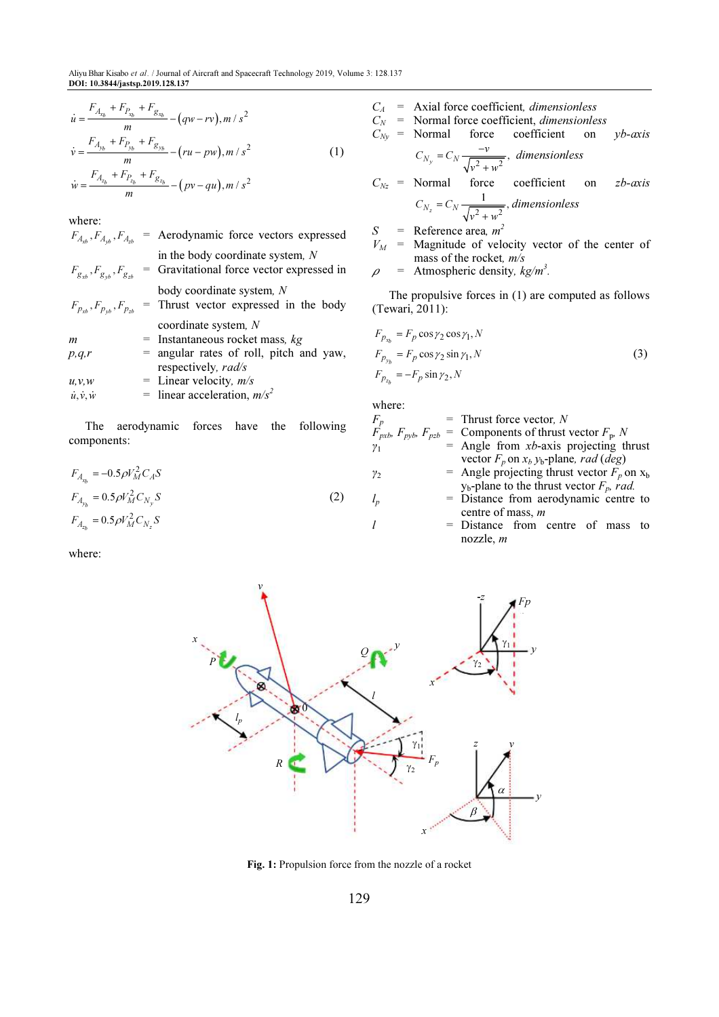$$
\dot{u} = \frac{F_{A_{x_b}} + F_{P_{x_b}} + F_{g_{x_b}}}{m} - (qw - rv), m / s^2
$$

$$
\dot{v} = \frac{F_{A_{y_b}} + F_{p_{y_b}} + F_{g_{y_b}}}{m} - (ru - pw), m / s^2
$$
 (1)

$$
\dot{w} = \frac{F_{A_{z_b}} + F_{P_{z_b}} + F_{g_{z_b}}}{m} - (pv - qu), m / s^2
$$

where:

| $F_{A_{\nu b}}, F_{A_{\nu b}}, F_{A_{\nu b}}$ | = Aerodynamic force vectors expressed                                           |
|-----------------------------------------------|---------------------------------------------------------------------------------|
| $F_{g_{\nu b}}, F_{g_{\nu b}}, F_{g_{z b}}$   | in the body coordinate system, $N$<br>= Gravitational force vector expressed in |
| $F_{p_{rb}}, F_{p_{rb}}, F_{p_{rb}}$          | body coordinate system, N<br>= Thrust vector expressed in the body              |
|                                               | coordinate system, N                                                            |
| m                                             | $=$ Instantaneous rocket mass, $kg$                                             |
| p,q,r                                         | = angular rates of roll, pitch and yaw,<br>respectively, rad/s                  |
| u, v, w                                       | = Linear velocity, $m/s$                                                        |
| $\dot{u}, \dot{v}, \dot{w}$                   | = linear acceleration, $m/s^2$                                                  |

The aerodynamic forces have the following components:

$$
F_{A_{x_b}} = -0.5 \rho V_M^2 C_A S
$$
  
\n
$$
F_{A_{y_b}} = 0.5 \rho V_M^2 C_{N_y} S
$$
  
\n
$$
F_{A_{z_b}} = 0.5 \rho V_M^2 C_{N_z} S
$$
\n(2)

where:

- $C_A$  = Axial force coefficient, *dimensionless*
- $C_N$  = Normal force coefficient, *dimensionless*

$$
C_{Ny}
$$
 = Normal force coefficient on *yb-axis*

$$
C_{N_y} = C_N \frac{-v}{\sqrt{v^2 + w^2}}, \text{ dimensionless}
$$
  

$$
C_{N_z} = \text{Normal force coefficient on } zb\text{-axis}
$$

$$
C_{N_z} = C_N \frac{1}{\sqrt{v^2 + w^2}}, dimensionless
$$
  

$$
S = Reference area, m^2
$$

 $V_M$  = Magnitude of velocity vector of the center of mass of the rocket,  $m/s$ 

.

$$
\rho = \text{Atmospheric density}, \, \text{kg/m}^3
$$

The propulsive forces in (1) are computed as follows (Tewari, 2011):

$$
F_{p_{x_b}} = F_p \cos \gamma_2 \cos \gamma_1, N
$$
  
\n
$$
F_{p_{y_b}} = F_p \cos \gamma_2 \sin \gamma_1, N
$$
  
\n
$$
F_{p_{z_b}} = -F_p \sin \gamma_2, N
$$
\n(3)

where:

| $F_p$      | $=$ Thrust force vector, N                                                  |
|------------|-----------------------------------------------------------------------------|
|            | $F_{pxb}$ , $F_{pxb}$ , $F_{pzb}$ = Components of thrust vector $F_{p}$ , N |
| $\gamma_1$ | $=$ Angle from <i>xb</i> -axis projecting thrust                            |
|            | vector $F_p$ on $x_b$ $y_b$ -plane, rad (deg)                               |
| $\gamma_2$ | = Angle projecting thrust vector $F_p$ on $x_b$                             |
|            | $y_b$ -plane to the thrust vector $F_p$ , rad.                              |
| $l_p$      | = Distance from aerodynamic centre to                                       |
|            | centre of mass, $m$                                                         |
|            | = Distance from centre of mass to                                           |
|            | nozzle, $m$                                                                 |



Fig. 1: Propulsion force from the nozzle of a rocket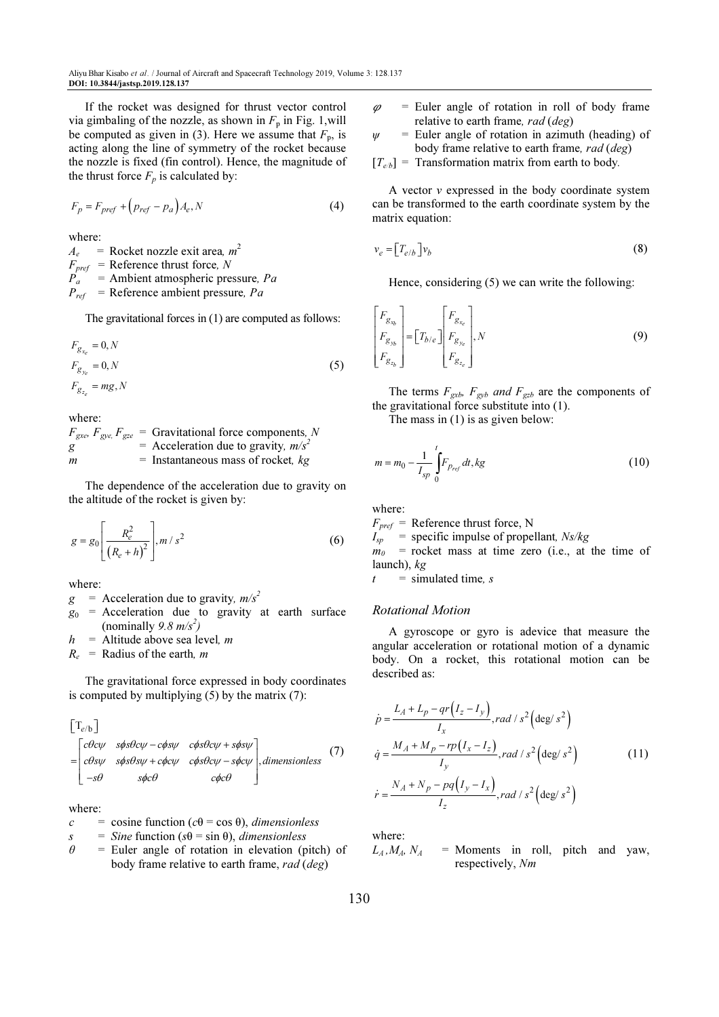If the rocket was designed for thrust vector control via gimbaling of the nozzle, as shown in  $F_p$  in Fig. 1, will be computed as given in (3). Here we assume that  $F_p$ , is acting along the line of symmetry of the rocket because the nozzle is fixed (fin control). Hence, the magnitude of the thrust force  $F_p$  is calculated by:

$$
F_p = F_{pref} + \left(p_{ref} - p_a\right)A_e, N\tag{4}
$$

where:

 $A_e$  = Rocket nozzle exit area,  $m^2$  $F_{pref}$  = Reference thrust force, N  $\overline{P}_a$  = Ambient atmospheric pressure, Pa  $P_{ref}$  = Reference ambient pressure, Pa

The gravitational forces in (1) are computed as follows:

$$
F_{g_{x_e}} = 0, N
$$
  
\n
$$
F_{g_{y_e}} = 0, N
$$
  
\n
$$
F_{g_{z_e}} = mg, N
$$
\n(5)

where:

 $F_{\text{gxe}}$ ,  $F_{\text{gye}}$ ,  $F_{\text{gze}}$  = Gravitational force components, N g  $=$  Acceleration due to gravity,  $m/s^2$  $m =$  Instantaneous mass of rocket,  $kg$ 

The dependence of the acceleration due to gravity on the altitude of the rocket is given by:

$$
g = g_0 \left[ \frac{R_e^2}{(R_e + h)^2} \right], m / s^2
$$
 (6)

where:

 $g =$  Acceleration due to gravity,  $m/s^2$ 

- $g_0$  = Acceleration due to gravity at earth surface (nominally 9.8  $m/s^2$ )
- $h$  = Altitude above sea level, m

 $R_e$  = Radius of the earth, *m* 

The gravitational force expressed in body coordinates is computed by multiplying  $(5)$  by the matrix  $(7)$ :

 $\left[\mathrm{T}_{e/\mathrm{b}}\right]$ 

$$
= \begin{bmatrix} c\theta c\psi & s\phi s\theta c\psi - c\phi s\psi & c\phi s\theta c\psi + s\phi s\psi \\ c\theta s\psi & s\phi s\theta s\psi + c\phi c\psi & c\phi s\theta c\psi - s\phi c\psi \\ -s\theta & s\phi c\theta & c\phi c\theta \end{bmatrix}, dimensionless (7)
$$

where:

$$
c
$$
 = cosine function ( $c\theta$  = cos  $\theta$ ), *dimensionless*

 $s =$  Sine function ( $s\theta$  = sin  $\theta$ ), dimensionless

 $\theta$  = Euler angle of rotation in elevation (pitch) of body frame relative to earth frame, rad (deg)

- $\varphi$  = Euler angle of rotation in roll of body frame relative to earth frame, rad (deg)
- $\psi$  = Euler angle of rotation in azimuth (heading) of body frame relative to earth frame, rad (deg)
- $[T_{e/b}]$  = Transformation matrix from earth to body.

A vector v expressed in the body coordinate system can be transformed to the earth coordinate system by the matrix equation:

$$
v_e = \left[T_{e/b}\right]v_b\tag{8}
$$

Hence, considering (5) we can write the following:

$$
\begin{bmatrix} F_{g_{x_b}} \\ F_{g_{y_b}} \\ F_{g_{z_b}} \end{bmatrix} = \begin{bmatrix} T_{b/e} \end{bmatrix} \begin{bmatrix} F_{g_{x_e}} \\ F_{g_{y_e}} \\ F_{g_{z_e}} \end{bmatrix}, N \tag{9}
$$

The terms  $F_{\text{gxb}}$ ,  $F_{\text{gyb}}$  and  $F_{\text{gzb}}$  are the components of the gravitational force substitute into (1).

The mass in (1) is as given below:

$$
m = m_0 - \frac{1}{I_{sp}} \int_0^t F_{p_{ref}} dt, kg
$$
 (10)

where:

 $F_{\text{pref}}$  = Reference thrust force, N  $I_{sp}$  = specific impulse of propellant,  $Ns/kg$  $m_0$  = rocket mass at time zero (i.e., at the time of launch),  $kg$  $t =$  simulated time, s

#### Rotational Motion

A gyroscope or gyro is adevice that measure the angular acceleration or rotational motion of a dynamic body. On a rocket, this rotational motion can be described as:

$$
\dot{p} = \frac{L_A + L_p - qr(I_z - I_y)}{I_x}, rad / s^2 \left(\frac{\text{deg}}{s^2}\right)
$$
\n
$$
\dot{q} = \frac{M_A + M_p - rp(I_x - I_z)}{I_y}, rad / s^2 \left(\frac{\text{deg}}{s^2}\right)
$$
\n
$$
\dot{r} = \frac{N_A + N_p - pq(I_y - I_x)}{I_z}, rad / s^2 \left(\frac{\text{deg}}{s^2}\right)
$$
\n(11)

where:

 $L_A, M_A, N_A$  = Moments in roll, pitch and yaw, respectively, Nm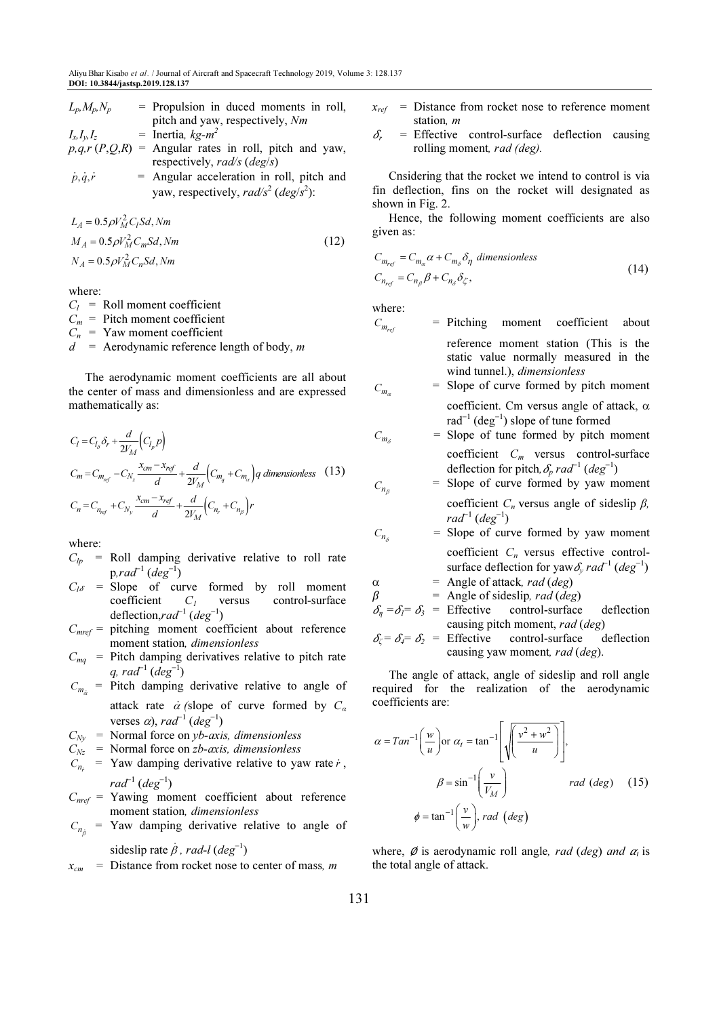| $L_p, M_p, N_p$         | $=$ Propulsion in duced moments in roll,               |  |
|-------------------------|--------------------------------------------------------|--|
|                         | pitch and yaw, respectively, Nm                        |  |
| $I_{x_i}I_{y_i}I_{z_i}$ | = Inertia, $k\pi$ - $m^2$                              |  |
|                         | $p,q,r(P,Q,R)$ = Angular rates in roll, pitch and yaw, |  |
|                         | respectively, rad/s ( $deg/s$ )                        |  |

 $\dot{p}, \dot{q}, \dot{r}$  = Angular acceleration in roll, pitch and yaw, respectively,  $rad/s^2$  ( $deg/s^2$ ):

$$
L_A = 0.5 \rho V_M^2 C_l S d, Nm
$$
  
\n
$$
M_A = 0.5 \rho V_M^2 C_m S d, Nm
$$
  
\n
$$
N_A = 0.5 \rho V_M^2 C_n S d, Nm
$$
\n(12)

where:

 $C_l$  = Roll moment coefficient

 $C_m$  = Pitch moment coefficient

 $C_n$  = Yaw moment coefficient

 $d =$  Aerodynamic reference length of body, m

The aerodynamic moment coefficients are all about the center of mass and dimensionless and are expressed mathematically as:

$$
C_l = C_{l_\delta} \delta_r + \frac{d}{2V_M} \left( C_{l_p} p \right)
$$
  
\n
$$
C_m = C_{m_{ref}} - C_{N_z} \frac{x_{cm} - x_{ref}}{d} + \frac{d}{2V_M} \left( C_{m_q} + C_{m_\alpha} \right) q \text{ dimensionless} \quad (13)
$$
  
\n
$$
C_n = C_{n_{ref}} + C_{N_y} \frac{x_{cm} - x_{ref}}{d} + \frac{d}{2V_M} \left( C_{n_r} + C_{n_\beta} \right) r
$$

where:

- $C_{lp}$  = Roll damping derivative relative to roll rate  $p, rad^{-1}$  ( $deg^{-1}$ )
- $C_{l\delta}$  = Slope of curve formed by roll moment<br>coefficient  $C_l$  versus control-surface control-surface deflection,rad<sup>-1</sup> (deg<sup>-1</sup>)
- $C_{\text{mref}}$  = pitching moment coefficient about reference moment station, dimensionless
- $C_{ma}$  = Pitch damping derivatives relative to pitch rate q, rad<sup>-1</sup> (deg<sup>-1</sup>)

 $C_{m_{\alpha}}$  = Pitch damping derivative relative to angle of attack rate  $\dot{\alpha}$  (slope of curve formed by  $C_{\alpha}$ verses  $\alpha$ ), rad<sup>-1</sup> (deg<sup>-1</sup>)

- $C_{Nv}$  = Normal force on *yb-axis*, *dimensionless*
- $C_{Nz}$  = Normal force on *zb-axis*, *dimensionless*
- $C_{n<sub>r</sub>}$  = Yaw damping derivative relative to yaw rate  $\dot{r}$ ,  $rad^{-1} (deg^{-1})$
- $C_{\text{nref}}$  = Yawing moment coefficient about reference moment station, dimensionless

$$
C_{n_{\hat{\beta}}} = \text{Yaw damping derivative relative to angle of}
$$

sideslip rate  $\dot{\beta}$ , rad-l (deg<sup>-1</sup>)

 $x_{cm}$  = Distance from rocket nose to center of mass, m

- $x_{ref}$  = Distance from rocket nose to reference moment station, m
- $\delta_r$  = Effective control-surface deflection causing rolling moment, rad (deg).

Cnsidering that the rocket we intend to control is via fin deflection, fins on the rocket will designated as shown in Fig. 2.

Hence, the following moment coefficients are also given as:

$$
C_{m_{ref}} = C_{m_{\alpha}} \alpha + C_{m_{\delta}} \delta_{\eta} \text{ dimensionless}
$$
  
\n
$$
C_{n_{ref}} = C_{n_{\beta}} \beta + C_{n_{\delta}} \delta_{\zeta},
$$
\n(14)

where:

 $C_{n<sub>β</sub>}$ 

- $C_{m_{ref}}$ = Pitching moment coefficient about reference moment station (This is the static value normally measured in the wind tunnel.), dimensionless
- $C_{m_\alpha}$ = Slope of curve formed by pitch moment coefficient. Cm versus angle of attack,  $\alpha$ rad<sup>−</sup><sup>1</sup> (deg<sup>−</sup><sup>1</sup> ) slope of tune formed
- $C_{m_{\delta}}$ Slope of tune formed by pitch moment coefficient  $C_m$  versus control-surface deflection for pitch,  $\delta_p$  rad<sup>-1</sup> (deg<sup>-1</sup>)
	- = Slope of curve formed by yaw moment

coefficient  $C_n$  versus angle of sideslip  $\beta$ ,  $rad^{-1} (deg^{-1})$ 

- $C_n$ = Slope of curve formed by yaw moment coefficient  $C_n$  versus effective controlsurface deflection for yaw $\delta_y$  rad<sup>-1</sup> (deg<sup>-1</sup>)
- $\alpha$  = Angle of attack, rad (deg)

$$
\beta = \text{Angle of sideslip, } rad \, (deg)
$$

- $\delta_n = \delta_1 = \delta_3 =$  Effective control-surface deflection causing pitch moment, rad (deg)
- $\delta_{\zeta} = \delta_{\zeta} = \delta_{\zeta} =$  Effective control-surface deflection causing yaw moment, rad (deg).

The angle of attack, angle of sideslip and roll angle required for the realization of the aerodynamic coefficients are:

$$
\alpha = \tan^{-1}\left(\frac{w}{u}\right) \text{ or } \alpha_t = \tan^{-1}\left[\sqrt{\frac{v^2 + w^2}{u}}\right],
$$
  

$$
\beta = \sin^{-1}\left(\frac{v}{V_M}\right) \qquad \text{rad (deg)} \quad (15)
$$
  

$$
\phi = \tan^{-1}\left(\frac{v}{w}\right), \text{ rad (deg)}
$$

where,  $\emptyset$  is aerodynamic roll angle, rad (deg) and  $\alpha_i$  is the total angle of attack.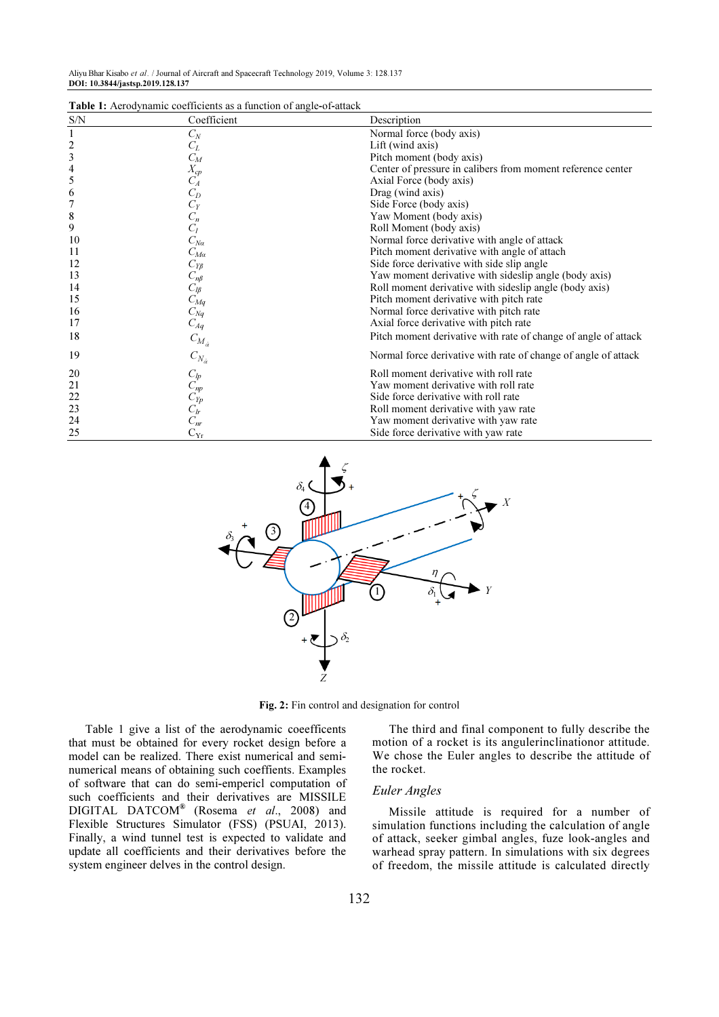| Aliyu Bhar Kisabo et al. / Journal of Aircraft and Spacecraft Technology 2019, Volume 3: 128.137 |  |  |
|--------------------------------------------------------------------------------------------------|--|--|
| DOI: 10.3844/jastsp.2019.128.137                                                                 |  |  |

| <b>Table 1:</b> Aerodynamic coefficients as a function of angle-of-attack |                              |                                                                |  |  |  |
|---------------------------------------------------------------------------|------------------------------|----------------------------------------------------------------|--|--|--|
| S/N                                                                       | Coefficient                  | Description                                                    |  |  |  |
| 1                                                                         | $C_N$                        | Normal force (body axis)                                       |  |  |  |
| $\frac{2}{3}$                                                             | $C_L$                        | Lift (wind axis)                                               |  |  |  |
|                                                                           | $C_M$                        | Pitch moment (body axis)                                       |  |  |  |
| $\overline{\mathcal{L}}$                                                  |                              | Center of pressure in calibers from moment reference center    |  |  |  |
| 5                                                                         | $\overline{X_{cp}}$<br>$C_A$ | Axial Force (body axis)                                        |  |  |  |
| 6                                                                         | $\mathcal{C}_D$              | Drag (wind axis)                                               |  |  |  |
| 7                                                                         | $\mathcal{C}_{\mathcal{Y}}$  | Side Force (body axis)                                         |  |  |  |
| 8                                                                         | $C_n$                        | Yaw Moment (body axis)                                         |  |  |  |
| 9                                                                         | $C_l$                        | Roll Moment (body axis)                                        |  |  |  |
| 10                                                                        | $C_{N\alpha}$                | Normal force derivative with angle of attack                   |  |  |  |
| 11                                                                        | $C_{Ma}$                     | Pitch moment derivative with angle of attach                   |  |  |  |
| 12                                                                        | $C_{Y\beta}$                 | Side force derivative with side slip angle                     |  |  |  |
| 13                                                                        | $C_{n\beta}$                 | Yaw moment derivative with sideslip angle (body axis)          |  |  |  |
| 14                                                                        | $C_{l\beta}$                 | Roll moment derivative with sideslip angle (body axis)         |  |  |  |
| 15                                                                        | $C_{Mq}$                     | Pitch moment derivative with pitch rate                        |  |  |  |
| 16                                                                        | $C_{Nq}$                     | Normal force derivative with pitch rate                        |  |  |  |
| 17                                                                        | $C_{Aq}$                     | Axial force derivative with pitch rate                         |  |  |  |
| 18                                                                        | $C_{M_{\alpha}}$             | Pitch moment derivative with rate of change of angle of attack |  |  |  |
| 19                                                                        | $C_{N_{\dot\alpha}}$         | Normal force derivative with rate of change of angle of attack |  |  |  |
| 20                                                                        |                              | Roll moment derivative with roll rate                          |  |  |  |
| 21                                                                        | $\frac{C_{lp}}{C_{np}}$      | Yaw moment derivative with roll rate                           |  |  |  |
| 22                                                                        | $C_{Ip}$                     | Side force derivative with roll rate                           |  |  |  |
| 23                                                                        | $C_{lr}$                     | Roll moment derivative with yaw rate                           |  |  |  |
| 24                                                                        | $C_{nr}$                     | Yaw moment derivative with yaw rate                            |  |  |  |
| 25                                                                        | $C_{Yr}$                     | Side force derivative with yaw rate                            |  |  |  |

 $T$ . It also heard manifestor of  $C^*$  is an approximation of angle-of-attack



Fig. 2: Fin control and designation for control

Table 1 give a list of the aerodynamic coeefficents that must be obtained for every rocket design before a model can be realized. There exist numerical and seminumerical means of obtaining such coeffients. Examples of software that can do semi-empericl computation of such coefficients and their derivatives are MISSILE DIGITAL DATCOM® (Rosema et al., 2008) and Flexible Structures Simulator (FSS) (PSUAI, 2013). Finally, a wind tunnel test is expected to validate and update all coefficients and their derivatives before the system engineer delves in the control design.

The third and final component to fully describe the motion of a rocket is its angulerinclinationor attitude. We chose the Euler angles to describe the attitude of the rocket.

#### Euler Angles

Missile attitude is required for a number of simulation functions including the calculation of angle of attack, seeker gimbal angles, fuze look-angles and warhead spray pattern. In simulations with six degrees of freedom, the missile attitude is calculated directly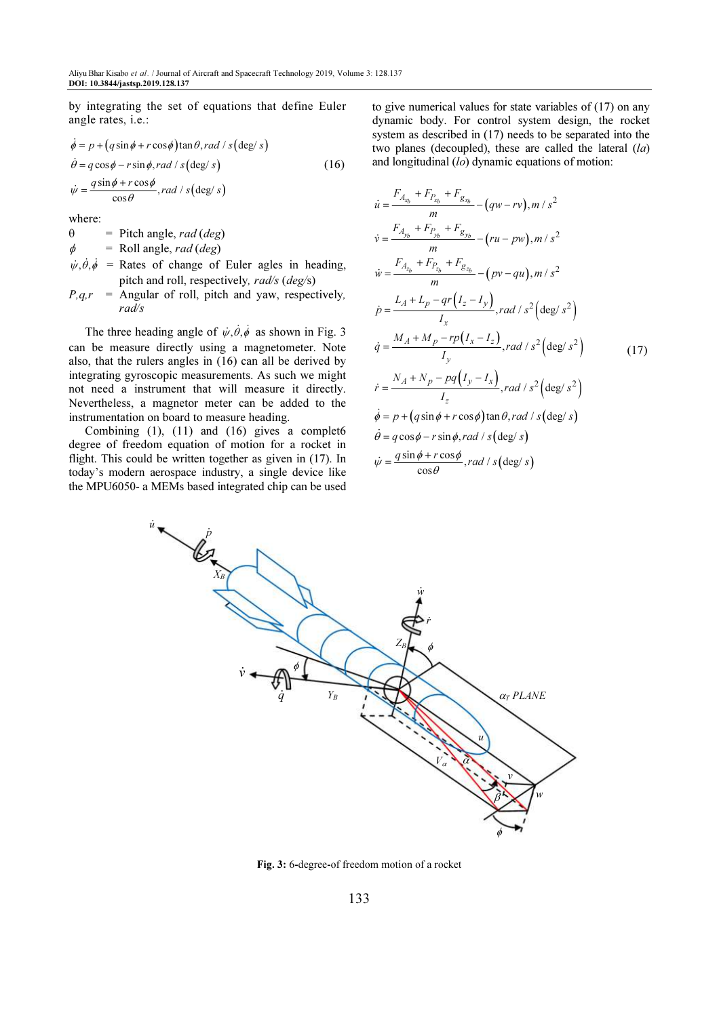by integrating the set of equations that define Euler angle rates, i.e.:

$$
\dot{\phi} = p + (q \sin \phi + r \cos \phi) \tan \theta, rad / s (\deg / s)
$$
  
\n
$$
\dot{\theta} = q \cos \phi - r \sin \phi, rad / s (\deg / s)
$$
  
\n
$$
\dot{\psi} = \frac{q \sin \phi + r \cos \phi}{\cos \theta}, rad / s (\deg / s)
$$
\n(16)

where:

 $\mathbf{a}$ 

 $\theta$  = Pitch angle, rad (deg)

 $\phi$  = Roll angle, rad (deg)

- $\psi, \dot{\theta}, \dot{\phi}$  = Rates of change of Euler agles in heading, pitch and roll, respectively, rad/s (deg/s)
- $P,q,r$  = Angular of roll, pitch and yaw, respectively, rad/s

The three heading angle of  $\psi$ ,  $\dot{\theta}$ ,  $\dot{\phi}$  as shown in Fig. 3 can be measure directly using a magnetometer. Note also, that the rulers angles in (16) can all be derived by integrating gyroscopic measurements. As such we might not need a instrument that will measure it directly. Nevertheless, a magnetor meter can be added to the instrumentation on board to measure heading.

Combining (1), (11) and (16) gives a complet6 degree of freedom equation of motion for a rocket in flight. This could be written together as given in (17). In today's modern aerospace industry, a single device like the MPU6050- a MEMs based integrated chip can be used to give numerical values for state variables of (17) on any dynamic body. For control system design, the rocket system as described in (17) needs to be separated into the two planes (decoupled), these are called the lateral  $(la)$ and longitudinal  $(lo)$  dynamic equations of motion:

$$
\dot{u} = \frac{F_{A_{x_b}} + F_{P_{x_b}} + F_{g_{x_b}}}{m} - (qw - rv), m / s^2
$$
\n
$$
\dot{v} = \frac{F_{A_{y_b}} + F_{P_{y_b}} + F_{g_{y_b}}}{m} - (ru - pw), m / s^2
$$
\n
$$
\dot{w} = \frac{F_{A_{z_b}} + F_{P_{z_b}} + F_{g_{z_b}}}{m} - (pv - qu), m / s^2
$$
\n
$$
\dot{p} = \frac{L_A + L_p - qr(I_z - I_y)}{I_x}, rad / s^2 \left(\frac{\text{deg}}{s^2}\right)
$$
\n
$$
\dot{q} = \frac{M_A + M_p - rp(I_x - I_z)}{I_y}, rad / s^2 \left(\frac{\text{deg}}{s^2}\right)
$$
\n
$$
\dot{r} = \frac{N_A + N_p - pq(I_y - I_x)}{I_z}, rad / s^2 \left(\frac{\text{deg}}{s^2}\right)
$$
\n
$$
\dot{\phi} = p + (q \sin \phi + r \cos \phi) \tan \theta, rad / s \left(\frac{\text{deg}}{s}\right)
$$
\n
$$
\dot{\theta} = q \cos \phi - r \sin \phi, rad / s \left(\frac{\text{deg}}{s}\right)
$$
\n
$$
\dot{w} = \frac{q \sin \phi + r \cos \phi}{\cos \theta}, rad / s \left(\frac{\text{deg}}{s}\right)
$$



Fig. 3: 6-degree-of freedom motion of a rocket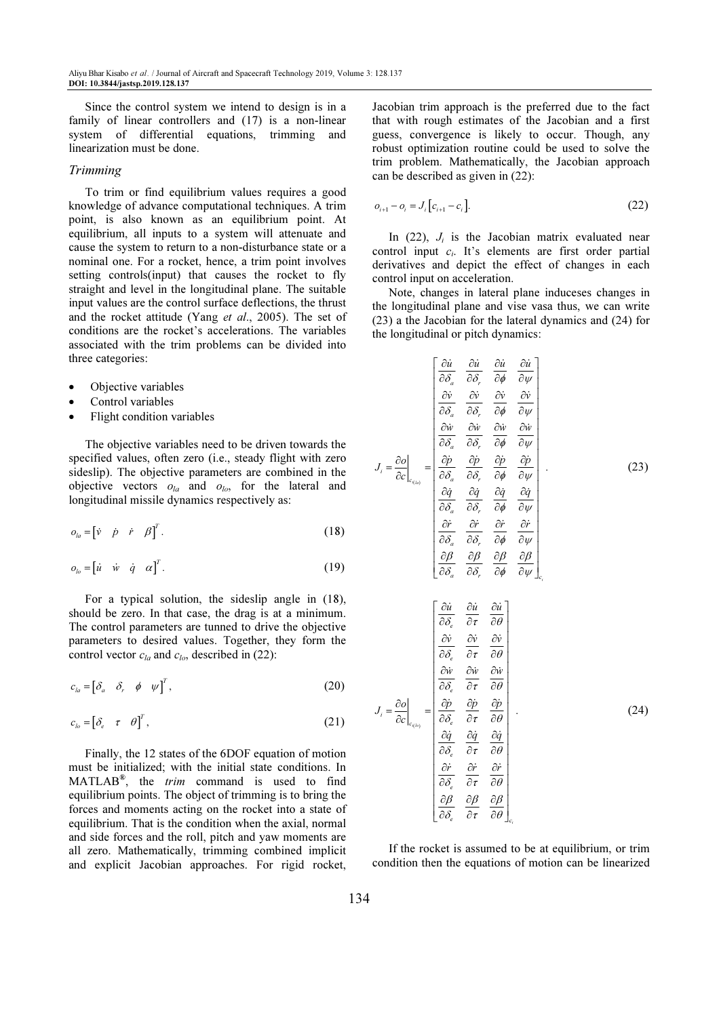Since the control system we intend to design is in a family of linear controllers and (17) is a non-linear system of differential equations, trimming and linearization must be done.

#### Trimming

To trim or find equilibrium values requires a good knowledge of advance computational techniques. A trim point, is also known as an equilibrium point. At equilibrium, all inputs to a system will attenuate and cause the system to return to a non-disturbance state or a nominal one. For a rocket, hence, a trim point involves setting controls(input) that causes the rocket to fly straight and level in the longitudinal plane. The suitable input values are the control surface deflections, the thrust and the rocket attitude (Yang et al., 2005). The set of conditions are the rocket's accelerations. The variables associated with the trim problems can be divided into three categories:

- Objective variables
- Control variables
- Flight condition variables

The objective variables need to be driven towards the specified values, often zero (i.e., steady flight with zero sideslip). The objective parameters are combined in the objective vectors  $o_{la}$  and  $o_{lo}$ , for the lateral and longitudinal missile dynamics respectively as:

$$
o_{la} = \begin{bmatrix} \dot{v} & \dot{p} & \dot{r} & \beta \end{bmatrix}^T.
$$
 (18)

$$
o_{lo} = \begin{bmatrix} \dot{u} & \dot{w} & \dot{q} & \alpha \end{bmatrix}^T. \tag{19}
$$

For a typical solution, the sideslip angle in (18), should be zero. In that case, the drag is at a minimum. The control parameters are tunned to drive the objective parameters to desired values. Together, they form the control vector  $c_{la}$  and  $c_{log}$ , described in (22):

$$
c_{la} = \begin{bmatrix} \delta_a & \delta_r & \phi & \psi \end{bmatrix}^T, \tag{20}
$$

$$
c_{lo} = \begin{bmatrix} \delta_e & \tau & \theta \end{bmatrix}^T, \tag{21}
$$

Finally, the 12 states of the 6DOF equation of motion must be initialized; with the initial state conditions. In  $MATLAB^{\mathcal{B}}$ , the *trim* command is used to find equilibrium points. The object of trimming is to bring the forces and moments acting on the rocket into a state of equilibrium. That is the condition when the axial, normal and side forces and the roll, pitch and yaw moments are all zero. Mathematically, trimming combined implicit and explicit Jacobian approaches. For rigid rocket,

Jacobian trim approach is the preferred due to the fact that with rough estimates of the Jacobian and a first guess, convergence is likely to occur. Though, any robust optimization routine could be used to solve the trim problem. Mathematically, the Jacobian approach can be described as given in (22):

$$
o_{i+1} - o_i = J_i \big[ c_{i+1} - c_i \big]. \tag{22}
$$

In  $(22)$ ,  $J_i$  is the Jacobian matrix evaluated near control input  $c_i$ . It's elements are first order partial derivatives and depict the effect of changes in each control input on acceleration.

Note, changes in lateral plane induceses changes in the longitudinal plane and vise vasa thus, we can write (23) a the Jacobian for the lateral dynamics and (24) for the longitudinal or pitch dynamics:

$$
J_{i} = \frac{\partial o}{\partial c} \left| \begin{array}{ccc} \frac{\partial \dot{u}}{\partial \delta_{a}} & \frac{\partial \dot{u}}{\partial \delta_{r}} & \frac{\partial \dot{u}}{\partial \phi} & \frac{\partial \dot{u}}{\partial \psi} \\ \frac{\partial \dot{v}}{\partial \delta_{a}} & \frac{\partial \dot{v}}{\partial \delta_{r}} & \frac{\partial \dot{v}}{\partial \phi} & \frac{\partial \dot{v}}{\partial \psi} \\ \frac{\partial \dot{w}}{\partial \delta_{a}} & \frac{\partial \dot{w}}{\partial \delta_{r}} & \frac{\partial \dot{w}}{\partial \phi} & \frac{\partial \dot{w}}{\partial \psi} \\ \frac{\partial \dot{w}}{\partial \delta_{a}} & \frac{\partial \dot{v}}{\partial \delta_{r}} & \frac{\partial \dot{v}}{\partial \phi} & \frac{\partial \dot{v}}{\partial \psi} \\ \frac{\partial \dot{q}}{\partial \delta_{a}} & \frac{\partial \dot{q}}{\partial \delta_{r}} & \frac{\partial \dot{q}}{\partial \phi} & \frac{\partial \dot{q}}{\partial \psi} \\ \frac{\partial \dot{r}}{\partial \delta_{a}} & \frac{\partial \dot{r}}{\partial \delta_{r}} & \frac{\partial \dot{r}}{\partial \phi} & \frac{\partial \dot{r}}{\partial \psi} \\ \frac{\partial \dot{\beta}}{\partial \delta_{a}} & \frac{\partial \dot{q}}{\partial \delta_{r}} & \frac{\partial \dot{r}}{\partial \phi} & \frac{\partial \dot{\beta}}{\partial \psi} \\ \frac{\partial \dot{v}}{\partial \delta_{c}} & \frac{\partial \dot{v}}{\partial \tau} & \frac{\partial \dot{v}}{\partial \theta} \\ \frac{\partial \dot{v}}{\partial \delta_{c}} & \frac{\partial \dot{v}}{\partial \tau} & \frac{\partial \dot{v}}{\partial \theta} \\ \frac{\partial \dot{w}}{\partial \delta_{c}} & \frac{\partial \dot{v}}{\partial \tau} & \frac{\partial \dot{v}}{\partial \theta} \\ \frac{\partial \dot{v}}{\partial \delta_{c}} & \frac{\partial \dot{q}}{\partial \tau} & \frac{\partial \dot{q}}{\partial \theta} \\ \frac{\partial \dot{r}}{\partial \delta_{c}} & \frac{\partial \dot{r}}{\partial \tau} & \frac{\partial \dot{q}}{\partial \theta} \\ \frac{\partial \dot{r}}{\partial \delta_{c}} & \frac{\partial \dot{r}}{\partial \tau} & \frac{\partial \dot{q}}{\partial \theta} \\ \frac{\partial
$$

If the rocket is assumed to be at equilibrium, or trim condition then the equations of motion can be linearized

i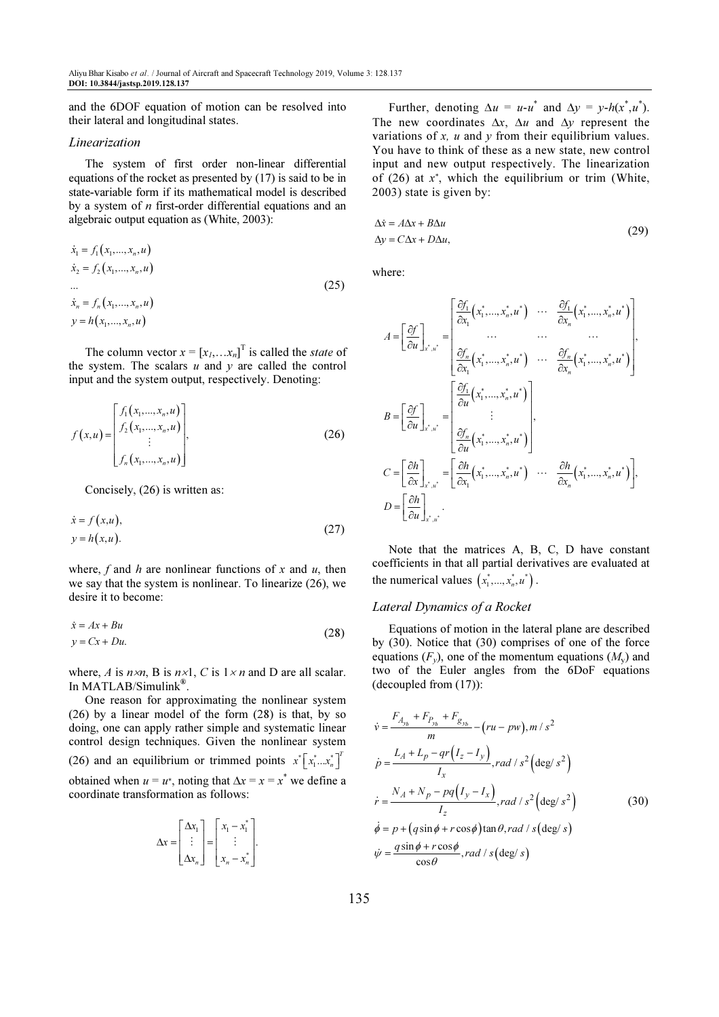and the 6DOF equation of motion can be resolved into their lateral and longitudinal states.

#### Linearization

The system of first order non-linear differential equations of the rocket as presented by (17) is said to be in state-variable form if its mathematical model is described by a system of  $n$  first-order differential equations and an algebraic output equation as (White, 2003):

$$
\dot{x}_1 = f_1(x_1, ..., x_n, u) \n\dot{x}_2 = f_2(x_1, ..., x_n, u) \n\cdots \n\dot{x}_n = f_n(x_1, ..., x_n, u) \n\qquad = h(x_1, ..., x_n, u)
$$
\n(25)

The column vector  $x = [x_1, \dots x_n]^T$  is called the *state* of the system. The scalars  $u$  and  $y$  are called the control input and the system output, respectively. Denoting:

$$
f(x, u) = \begin{bmatrix} f_1(x_1, ..., x_n, u) \\ f_2(x_1, ..., x_n, u) \\ \vdots \\ f_n(x_1, ..., x_n, u) \end{bmatrix},
$$
 (26)

Concisely, (26) is written as:

$$
\begin{aligned} \n\dot{x} &= f(x, u), \\ \ny &= h(x, u). \n\end{aligned} \tag{27}
$$

where, f and h are nonlinear functions of x and u, then we say that the system is nonlinear. To linearize (26), we desire it to become:

$$
\begin{aligned} \n\dot{x} &= Ax + Bu \\ \ny &= Cx + Du. \n\end{aligned} \tag{28}
$$

where, A is  $n \times n$ , B is  $n \times 1$ , C is  $1 \times n$  and D are all scalar. In MATLAB/Simulink® .

One reason for approximating the nonlinear system (26) by a linear model of the form (28) is that, by so doing, one can apply rather simple and systematic linear control design techniques. Given the nonlinear system (26) and an equilibrium or trimmed points  $x^* \left[x_1^*, \dots, x_n^*\right]^T$  $x^*$  $\left[ x_1^*...x_n^* \right]$ obtained when  $u = u^*$ , noting that  $\Delta x = x = x^*$  we define a coordinate transformation as follows:

$$
\Delta x = \begin{bmatrix} \Delta x_1 \\ \vdots \\ \Delta x_n \end{bmatrix} = \begin{bmatrix} x_1 - x_1^* \\ \vdots \\ x_n - x_n^* \end{bmatrix}.
$$

Further, denoting  $\Delta u = u - u^*$  and  $\Delta y = y - h(x^*, u^*)$ . The new coordinates  $\Delta x$ ,  $\Delta u$  and  $\Delta y$  represent the variations of  $x$ ,  $u$  and  $y$  from their equilibrium values. You have to think of these as a new state, new control input and new output respectively. The linearization of  $(26)$  at  $x^*$ , which the equilibrium or trim (White, 2003) state is given by:

$$
\Delta \dot{x} = A \Delta x + B \Delta u
$$
  
\n
$$
\Delta y = C \Delta x + D \Delta u,
$$
\n(29)

where:

$$
A = \left[\frac{\partial f}{\partial u}\right]_{x^*, u^*} = \begin{bmatrix} \frac{\partial f_1}{\partial x_1}(x_1^*, \dots, x_n^*, u^*) & \dots & \frac{\partial f_1}{\partial x_n}(x_1^*, \dots, x_n^*, u^*)\\ \dots & \dots & \dots & \dots\\ \frac{\partial f_n}{\partial x_1}(x_1^*, \dots, x_n^*, u^*) & \dots & \frac{\partial f_n}{\partial x_n}(x_1^*, \dots, x_n^*, u^*) \end{bmatrix},
$$
  
\n
$$
B = \left[\frac{\partial f}{\partial u}\right]_{x^*, u^*} = \begin{bmatrix} \frac{\partial f_1}{\partial u}(x_1^*, \dots, x_n^*, u^*)\\ \vdots\\ \frac{\partial f_n}{\partial u}(x_1^*, \dots, x_n^*, u^*) \end{bmatrix},
$$
  
\n
$$
C = \left[\frac{\partial h}{\partial x}\right]_{x^*, u^*} = \left[\frac{\partial h}{\partial x_1}(x_1^*, \dots, x_n^*, u^*) \dots \frac{\partial h}{\partial x_n}(x_1^*, \dots, x_n^*, u^*)\right],
$$
  
\n
$$
D = \left[\frac{\partial h}{\partial u}\right]_{x^*, u^*}.
$$

Note that the matrices A, B, C, D have constant coefficients in that all partial derivatives are evaluated at the numerical values  $(x_1^*,...,x_n^*,u^*)$ .

#### Lateral Dynamics of a Rocket

Equations of motion in the lateral plane are described by (30). Notice that (30) comprises of one of the force equations  $(F_y)$ , one of the momentum equations  $(M_y)$  and two of the Euler angles from the 6DoF equations (decoupled from (17)):

$$
\dot{v} = \frac{F_{A_{y_b}} + F_{P_{y_b}} + F_{g_{y_b}}}{m} - (ru - pw), m / s^2
$$
\n
$$
\dot{p} = \frac{L_A + L_p - qr(I_z - I_y)}{I_x}, rad / s^2 \left(\frac{\text{deg}}{s^2}\right)
$$
\n
$$
\dot{r} = \frac{N_A + N_p - pq(I_y - I_x)}{I_z}, rad / s^2 \left(\frac{\text{deg}}{s^2}\right)
$$
\n
$$
\dot{\phi} = p + (q \sin \phi + r \cos \phi) \tan \theta, rad / s \left(\frac{\text{deg}}{s}\right)
$$
\n
$$
\dot{\psi} = \frac{q \sin \phi + r \cos \phi}{\cos \theta}, rad / s \left(\frac{\text{deg}}{s}\right)
$$
\n(30)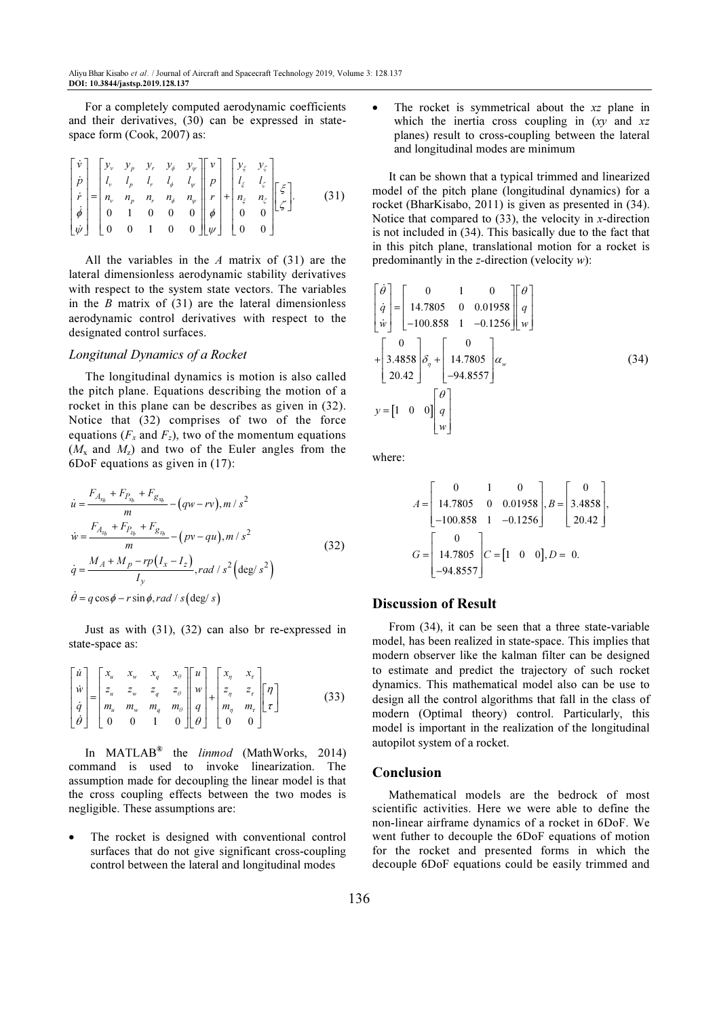For a completely computed aerodynamic coefficients and their derivatives, (30) can be expressed in statespace form (Cook, 2007) as:

$$
\begin{bmatrix} \dot{v} \\ \dot{p} \\ \dot{r} \\ \dot{\phi} \\ \dot{\phi} \\ \dot{\psi} \end{bmatrix} = \begin{bmatrix} y_v & y_p & y_r & y_\phi & y_\psi \\ l_v & l_p & l_r & l_\phi & l_\psi \\ n_v & n_p & n_r & n_\phi & n_\psi \\ 0 & 1 & 0 & 0 & 0 \\ 0 & 0 & 1 & 0 & 0 \end{bmatrix} \begin{bmatrix} v \\ p \\ r \\ r \\ \phi \end{bmatrix} + \begin{bmatrix} y_\xi & y_\zeta \\ l_\xi & l_\zeta \\ n_\xi & n_\zeta \\ 0 & 0 \end{bmatrix} \begin{bmatrix} \xi \\ \xi \\ \xi \end{bmatrix}.
$$
 (31)

All the variables in the  $A$  matrix of (31) are the lateral dimensionless aerodynamic stability derivatives with respect to the system state vectors. The variables in the  $B$  matrix of  $(31)$  are the lateral dimensionless aerodynamic control derivatives with respect to the designated control surfaces.

## Longitunal Dynamics of a Rocket

The longitudinal dynamics is motion is also called the pitch plane. Equations describing the motion of a rocket in this plane can be describes as given in (32). Notice that (32) comprises of two of the force equations ( $F_x$  and  $F_z$ ), two of the momentum equations  $(M_x$  and  $M_z$ ) and two of the Euler angles from the 6DoF equations as given in (17):

$$
\dot{u} = \frac{F_{A_{x_b}} + F_{P_{x_b}} + F_{g_{x_b}}}{m} - (qw - rv), m / s^2
$$
\n
$$
\dot{w} = \frac{F_{A_{z_b}} + F_{P_{z_b}} + F_{g_{z_b}}}{m} - (pv - qu), m / s^2
$$
\n
$$
\dot{q} = \frac{M_A + M_p - rp(I_x - I_z)}{I_y}, rad / s^2 \left(\frac{\text{deg}}{s^2}\right)
$$
\n
$$
\dot{\theta} = q \cos \phi - r \sin \phi, rad / s \left(\frac{\text{deg}}{s}\right)
$$
\n(32)

Just as with (31), (32) can also br re-expressed in state-space as:

$$
\begin{bmatrix}\n\dot{u} \\
\dot{w} \\
\dot{q} \\
\dot{\theta}\n\end{bmatrix} =\n\begin{bmatrix}\nx_u & x_w & x_q & x_\theta \\
z_u & z_w & z_q & z_\theta \\
m_u & m_w & m_q & m_\theta \\
0 & 0 & 1 & 0\n\end{bmatrix}\n\begin{bmatrix}\nu \\ w \\ q \\ q \end{bmatrix} +\n\begin{bmatrix}\nx_\eta & x_\tau \\
z_\eta & z_\tau \\
m_\eta & m_\tau \\
0 & 0\n\end{bmatrix}\n\begin{bmatrix}\n\eta \\ \tau\n\end{bmatrix}
$$
\n(33)

In MATLAB<sup>®</sup> the *linmod* (MathWorks, 2014) command is used to invoke linearization. The assumption made for decoupling the linear model is that the cross coupling effects between the two modes is negligible. These assumptions are:

The rocket is designed with conventional control surfaces that do not give significant cross-coupling control between the lateral and longitudinal modes

The rocket is symmetrical about the  $xz$  plane in which the inertia cross coupling in  $(xy \text{ and } xz)$ planes) result to cross-coupling between the lateral and longitudinal modes are minimum

It can be shown that a typical trimmed and linearized model of the pitch plane (longitudinal dynamics) for a rocket (BharKisabo, 2011) is given as presented in (34). Notice that compared to  $(33)$ , the velocity in x-direction is not included in (34). This basically due to the fact that in this pitch plane, translational motion for a rocket is predominantly in the z-direction (velocity  $w$ ):

$$
\begin{bmatrix}\n\dot{\theta} \\
\dot{q} \\
\dot{w}\n\end{bmatrix} = \begin{bmatrix}\n0 & 1 & 0 \\
14.7805 & 0 & 0.01958 \\
-100.858 & 1 & -0.1256\n\end{bmatrix} \begin{bmatrix}\n\theta \\
q \\
w\n\end{bmatrix}
$$
\n
$$
+ \begin{bmatrix}\n0 \\
3.4858 \\
20.42\n\end{bmatrix} \delta_{\eta} + \begin{bmatrix}\n0 \\
14.7805 \\
-94.8557\n\end{bmatrix} \alpha_{w}
$$
\n(34)\n
$$
y = \begin{bmatrix}\n1 & 0 & 0\n\end{bmatrix} \begin{bmatrix}\n\theta \\
q \\
w\n\end{bmatrix}
$$

where:

$$
A = \begin{bmatrix} 0 & 1 & 0 \\ 14.7805 & 0 & 0.01958 \\ -100.858 & 1 & -0.1256 \end{bmatrix}, B = \begin{bmatrix} 0 \\ 3.4858 \\ 20.42 \end{bmatrix},
$$
  

$$
G = \begin{bmatrix} 0 \\ 14.7805 \\ -94.8557 \end{bmatrix}, C = \begin{bmatrix} 1 & 0 & 0 \end{bmatrix}, D = 0.
$$

## Discussion of Result

From (34), it can be seen that a three state-variable model, has been realized in state-space. This implies that modern observer like the kalman filter can be designed to estimate and predict the trajectory of such rocket dynamics. This mathematical model also can be use to design all the control algorithms that fall in the class of modern (Optimal theory) control. Particularly, this model is important in the realization of the longitudinal autopilot system of a rocket.

#### Conclusion

Mathematical models are the bedrock of most scientific activities. Here we were able to define the non-linear airframe dynamics of a rocket in 6DoF. We went futher to decouple the 6DoF equations of motion for the rocket and presented forms in which the decouple 6DoF equations could be easily trimmed and